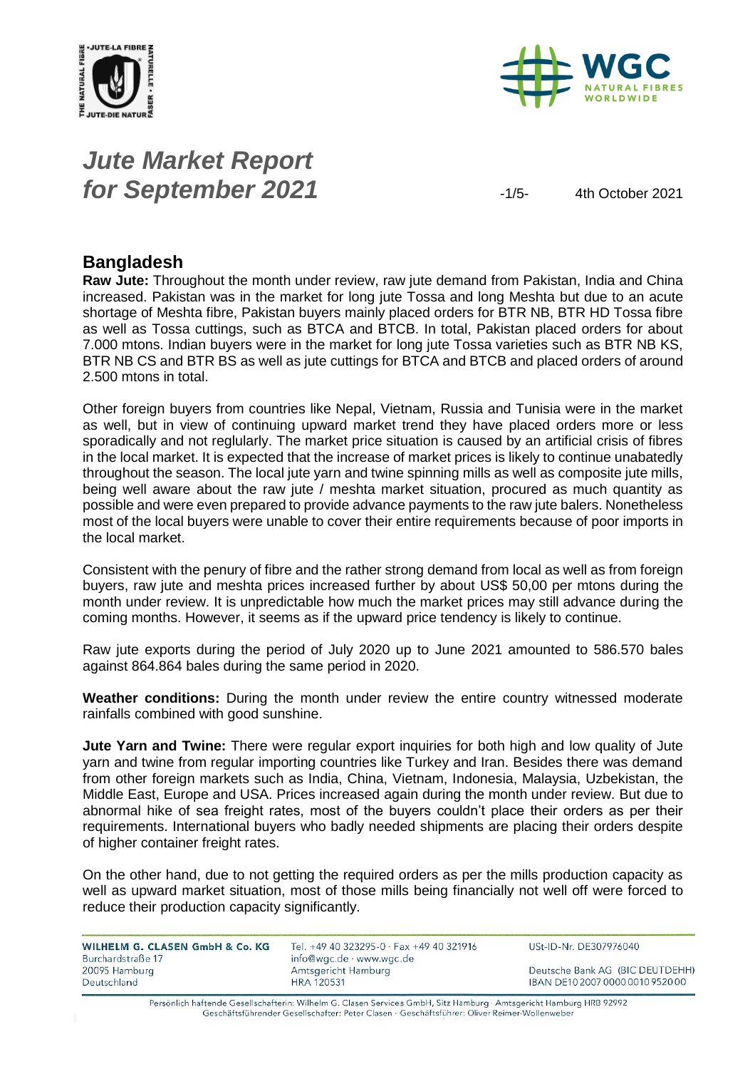



# *Jute Market Report* **for September 2021**  $\frac{1}{5}$   $\frac{4th \text{ October 2021}}{2}$

### **Bangladesh**

**Raw Jute:** Throughout the month under review, raw jute demand from Pakistan, India and China increased. Pakistan was in the market for long jute Tossa and long Meshta but due to an acute shortage of Meshta fibre, Pakistan buyers mainly placed orders for BTR NB, BTR HD Tossa fibre as well as Tossa cuttings, such as BTCA and BTCB. In total, Pakistan placed orders for about 7.000 mtons. Indian buyers were in the market for long jute Tossa varieties such as BTR NB KS, BTR NB CS and BTR BS as well as jute cuttings for BTCA and BTCB and placed orders of around 2.500 mtons in total.

Other foreign buyers from countries like Nepal, Vietnam, Russia and Tunisia were in the market as well, but in view of continuing upward market trend they have placed orders more or less sporadically and not reglularly. The market price situation is caused by an artificial crisis of fibres in the local market. It is expected that the increase of market prices is likely to continue unabatedly throughout the season. The local jute yarn and twine spinning mills as well as composite jute mills, being well aware about the raw jute / meshta market situation, procured as much quantity as possible and were even prepared to provide advance payments to the raw jute balers. Nonetheless most of the local buyers were unable to cover their entire requirements because of poor imports in the local market.

Consistent with the penury of fibre and the rather strong demand from local as well as from foreign buyers, raw jute and meshta prices increased further by about US\$ 50,00 per mtons during the month under review. It is unpredictable how much the market prices may still advance during the coming months. However, it seems as if the upward price tendency is likely to continue.

Raw jute exports during the period of July 2020 up to June 2021 amounted to 586.570 bales against 864.864 bales during the same period in 2020.

**Weather conditions:** During the month under review the entire country witnessed moderate rainfalls combined with good sunshine.

**Jute Yarn and Twine:** There were regular export inquiries for both high and low quality of Jute yarn and twine from regular importing countries like Turkey and Iran. Besides there was demand from other foreign markets such as India, China, Vietnam, Indonesia, Malaysia, Uzbekistan, the Middle East, Europe and USA. Prices increased again during the month under review. But due to abnormal hike of sea freight rates, most of the buyers couldn't place their orders as per their requirements. International buyers who badly needed shipments are placing their orders despite of higher container freight rates.

On the other hand, due to not getting the required orders as per the mills production capacity as well as upward market situation, most of those mills being financially not well off were forced to reduce their production capacity significantly.

| WILHELM G. CLASEN GmbH & Co. KG    | Tel. +49 40 323295-0 $\cdot$ Fax +49 40 321916  | USt-ID-Nr. DE307976040           |
|------------------------------------|-------------------------------------------------|----------------------------------|
| Burchardstraße 17<br>20095 Hamburg | info@wgc.de · www.wgc.de<br>Amtsgericht Hamburg | Deutsche Bank AG (BIC DEUTDEHH)  |
| Deutschland                        | <b>HRA 120531</b>                               | IBAN DE10 2007 0000 0010 9520 00 |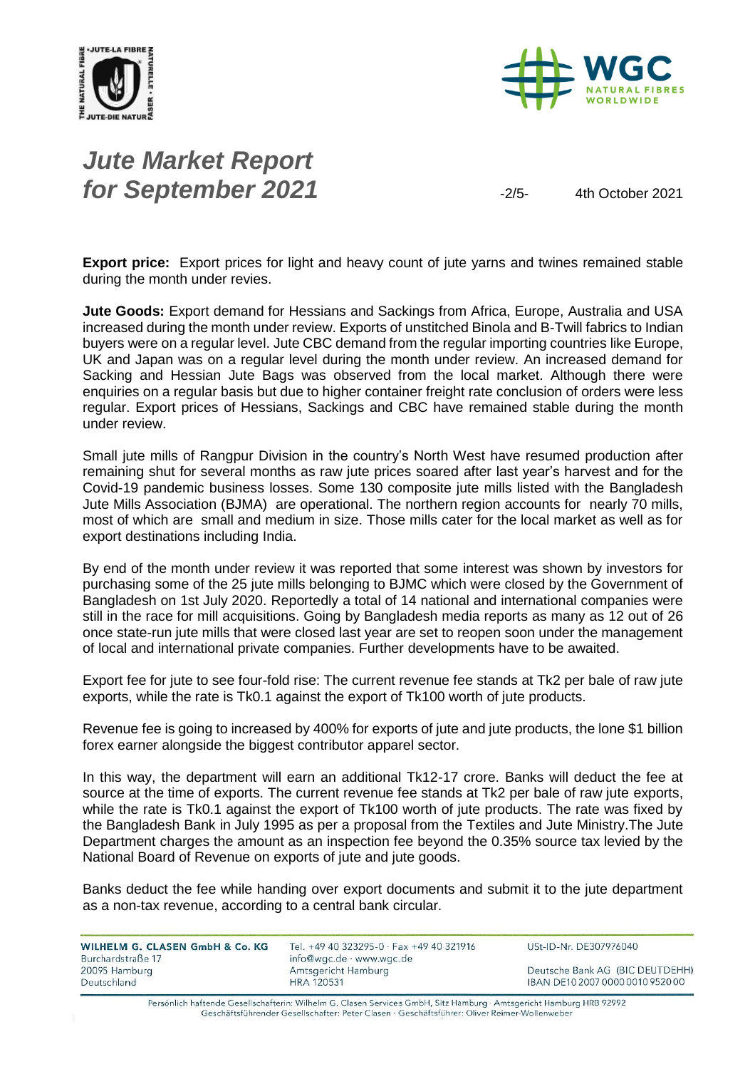



# *Jute Market Report* **for September 2021**  $\frac{2021}{2}$   $\frac{2}{5}$   $\frac{4\text{th October 2021}}{2}$

**Export price:** Export prices for light and heavy count of jute yarns and twines remained stable during the month under revies.

**Jute Goods:** Export demand for Hessians and Sackings from Africa, Europe, Australia and USA increased during the month under review. Exports of unstitched Binola and B-Twill fabrics to Indian buyers were on a regular level. Jute CBC demand from the regular importing countries like Europe, UK and Japan was on a regular level during the month under review. An increased demand for Sacking and Hessian Jute Bags was observed from the local market. Although there were enquiries on a regular basis but due to higher container freight rate conclusion of orders were less regular. Export prices of Hessians, Sackings and CBC have remained stable during the month under review.

Small jute mills of Rangpur Division in the country's North West have resumed production after remaining shut for several months as raw jute prices soared after last year's harvest and for the Covid-19 pandemic business losses. Some 130 composite jute mills listed with the Bangladesh Jute Mills Association (BJMA) are operational. The northern region accounts for nearly 70 mills, most of which are small and medium in size. Those mills cater for the local market as well as for export destinations including India.

By end of the month under review it was reported that some interest was shown by investors for purchasing some of the 25 jute mills belonging to BJMC which were closed by the Government of Bangladesh on 1st July 2020. Reportedly a total of 14 national and international companies were still in the race for mill acquisitions. Going by Bangladesh media reports as many as 12 out of 26 once state-run jute mills that were closed last year are set to reopen soon under the management of local and international private companies. Further developments have to be awaited.

Export fee for jute to see four-fold rise: The current revenue fee stands at Tk2 per bale of raw jute exports, while the rate is Tk0.1 against the export of Tk100 worth of jute products.

Revenue fee is going to increased by 400% for exports of jute and jute products, the lone \$1 billion forex earner alongside the biggest contributor apparel sector.

In this way, the department will earn an additional Tk12-17 crore. Banks will deduct the fee at source at the time of exports. The current revenue fee stands at Tk2 per bale of raw jute exports, while the rate is Tk0.1 against the export of Tk100 worth of jute products. The rate was fixed by the Bangladesh Bank in July 1995 as per a proposal from the Textiles and Jute Ministry.The Jute Department charges the amount as an inspection fee beyond the 0.35% source tax levied by the National Board of Revenue on exports of jute and jute goods.

Banks deduct the fee while handing over export documents and submit it to the jute department as a non-tax revenue, according to a central bank circular.

| WILHELM G. CLASEN GmbH & Co. KG    | Tel. +49 40 323295-0 · Fax +49 40 321916        | USt-ID-Nr. DE307976040           |
|------------------------------------|-------------------------------------------------|----------------------------------|
| Burchardstraße 17<br>20095 Hamburg | info@wgc.de · www.wgc.de<br>Amtsgericht Hamburg | Deutsche Bank AG (BIC DEUTDEHH)  |
| Deutschland                        | <b>HRA 120531</b>                               | IBAN DE10 2007 0000 0010 9520 00 |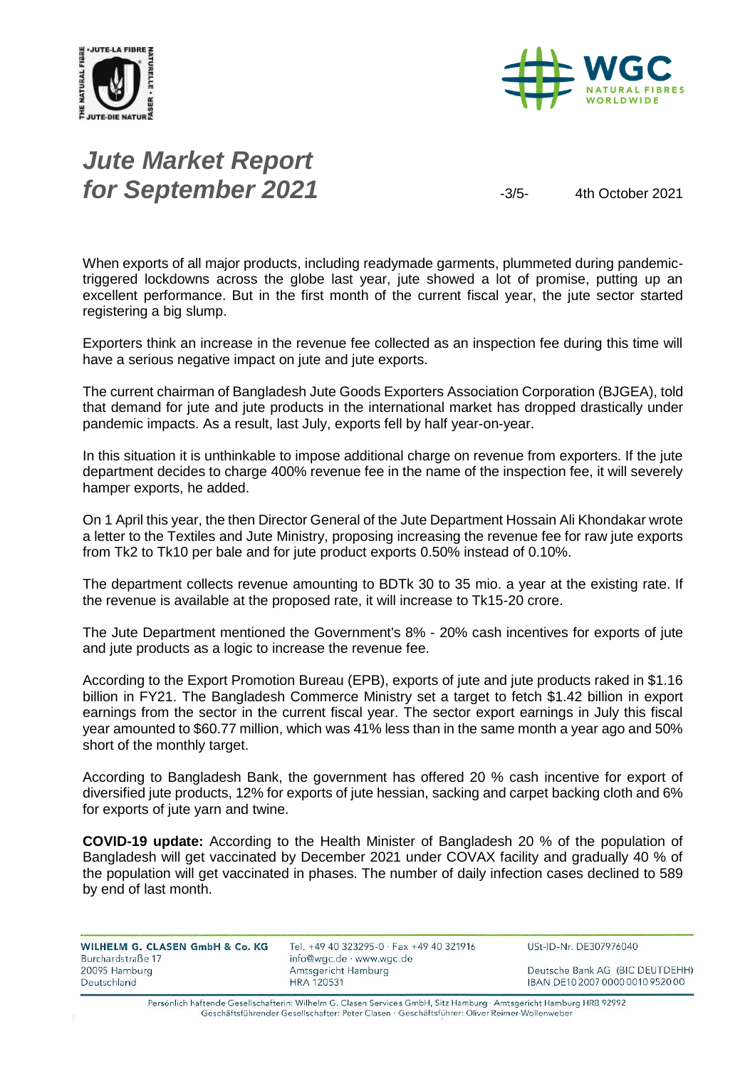



# *Jute Market Report* **for September 2021**  $-3/5$ - 4th October 2021

When exports of all major products, including readymade garments, plummeted during pandemictriggered lockdowns across the globe last year, jute showed a lot of promise, putting up an excellent performance. But in the first month of the current fiscal year, the jute sector started registering a big slump.

Exporters think an increase in the revenue fee collected as an inspection fee during this time will have a serious negative impact on jute and jute exports.

The current chairman of Bangladesh Jute Goods Exporters Association Corporation (BJGEA), told that demand for jute and jute products in the international market has dropped drastically under pandemic impacts. As a result, last July, exports fell by half year-on-year.

In this situation it is unthinkable to impose additional charge on revenue from exporters. If the jute department decides to charge 400% revenue fee in the name of the inspection fee, it will severely hamper exports, he added.

On 1 April this year, the then Director General of the Jute Department Hossain Ali Khondakar wrote a letter to the Textiles and Jute Ministry, proposing increasing the revenue fee for raw jute exports from Tk2 to Tk10 per bale and for jute product exports 0.50% instead of 0.10%.

The department collects revenue amounting to BDTk 30 to 35 mio. a year at the existing rate. If the revenue is available at the proposed rate, it will increase to Tk15-20 crore.

The Jute Department mentioned the Government's 8% - 20% cash incentives for exports of jute and jute products as a logic to increase the revenue fee.

According to the Export Promotion Bureau (EPB), exports of jute and jute products raked in \$1.16 billion in FY21. The Bangladesh Commerce Ministry set a target to fetch \$1.42 billion in export earnings from the sector in the current fiscal year. The sector export earnings in July this fiscal year amounted to \$60.77 million, which was 41% less than in the same month a year ago and 50% short of the monthly target.

According to Bangladesh Bank, the government has offered 20 % cash incentive for export of diversified jute products, 12% for exports of jute hessian, sacking and carpet backing cloth and 6% for exports of jute yarn and twine.

**COVID-19 update:** According to the Health Minister of Bangladesh 20 % of the population of Bangladesh will get vaccinated by December 2021 under COVAX facility and gradually 40 % of the population will get vaccinated in phases. The number of daily infection cases declined to 589 by end of last month.

| WILHELM G. CLASEN GmbH & Co. KG | Tel. +49 40 323295-0 · Fax +49 40 321916 | USt-ID-Nr. DE307976040           |
|---------------------------------|------------------------------------------|----------------------------------|
| Burchardstraße 17               | info@wgc.de · www.wgc.de                 |                                  |
| 20095 Hamburg                   | Amtsgericht Hamburg                      | Deutsche Bank AG (BIC DEUTDEHH)  |
| Deutschland                     | <b>HRA 120531</b>                        | IBAN DE10 2007 0000 0010 9520 00 |
|                                 |                                          |                                  |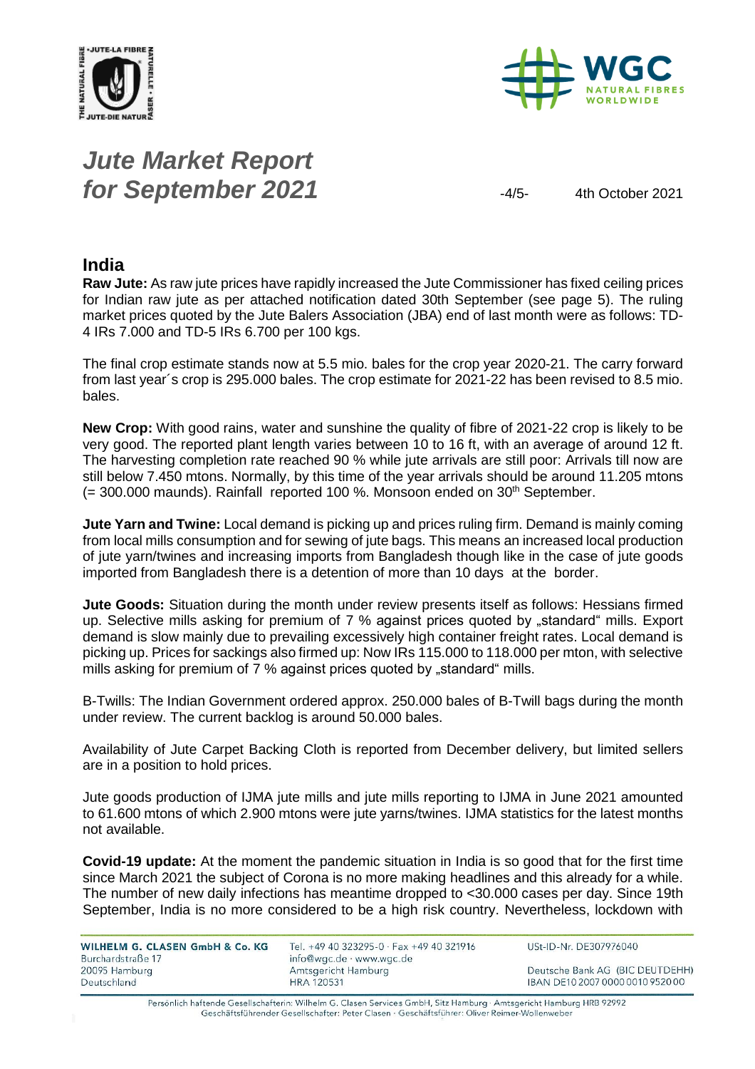



# *Jute Market Report* **for September 2021**  $-4/5$ -4/5-4th October 2021

### **India**

**Raw Jute:** As raw jute prices have rapidly increased the Jute Commissioner has fixed ceiling prices for Indian raw jute as per attached notification dated 30th September (see page 5). The ruling market prices quoted by the Jute Balers Association (JBA) end of last month were as follows: TD-4 IRs 7.000 and TD-5 IRs 6.700 per 100 kgs.

The final crop estimate stands now at 5.5 mio. bales for the crop year 2020-21. The carry forward from last year´s crop is 295.000 bales. The crop estimate for 2021-22 has been revised to 8.5 mio. bales.

**New Crop:** With good rains, water and sunshine the quality of fibre of 2021-22 crop is likely to be very good. The reported plant length varies between 10 to 16 ft, with an average of around 12 ft. The harvesting completion rate reached 90 % while jute arrivals are still poor: Arrivals till now are still below 7.450 mtons. Normally, by this time of the year arrivals should be around 11.205 mtons  $(= 300.000$  maunds). Rainfall reported 100 %. Monsoon ended on  $30<sup>th</sup>$  September.

**Jute Yarn and Twine:** Local demand is picking up and prices ruling firm. Demand is mainly coming from local mills consumption and for sewing of jute bags. This means an increased local production of jute yarn/twines and increasing imports from Bangladesh though like in the case of jute goods imported from Bangladesh there is a detention of more than 10 days at the border.

**Jute Goods:** Situation during the month under review presents itself as follows: Hessians firmed up. Selective mills asking for premium of 7 % against prices quoted by "standard" mills. Export demand is slow mainly due to prevailing excessively high container freight rates. Local demand is picking up. Prices for sackings also firmed up: Now IRs 115.000 to 118.000 per mton, with selective mills asking for premium of 7 % against prices quoted by "standard" mills.

B-Twills: The Indian Government ordered approx. 250.000 bales of B-Twill bags during the month under review. The current backlog is around 50.000 bales.

Availability of Jute Carpet Backing Cloth is reported from December delivery, but limited sellers are in a position to hold prices.

Jute goods production of IJMA jute mills and jute mills reporting to IJMA in June 2021 amounted to 61.600 mtons of which 2.900 mtons were jute yarns/twines. IJMA statistics for the latest months not available.

**Covid-19 update:** At the moment the pandemic situation in India is so good that for the first time since March 2021 the subject of Corona is no more making headlines and this already for a while. The number of new daily infections has meantime dropped to <30.000 cases per day. Since 19th September, India is no more considered to be a high risk country. Nevertheless, lockdown with

| WILHELM G. CLASEN GmbH & Co. KG | Tel. +49 40 323295-0 · Fax +49 40 321916 | USt-ID-Nr. DE307976040           |
|---------------------------------|------------------------------------------|----------------------------------|
| Burchardstraße 17               | info@wgc.de · www.wgc.de                 |                                  |
| 20095 Hamburg                   | Amtsgericht Hamburg                      | Deutsche Bank AG (BIC DEUTDEHH)  |
| Deutschland                     | <b>HRA 120531</b>                        | IBAN DE10 2007 0000 0010 9520 00 |